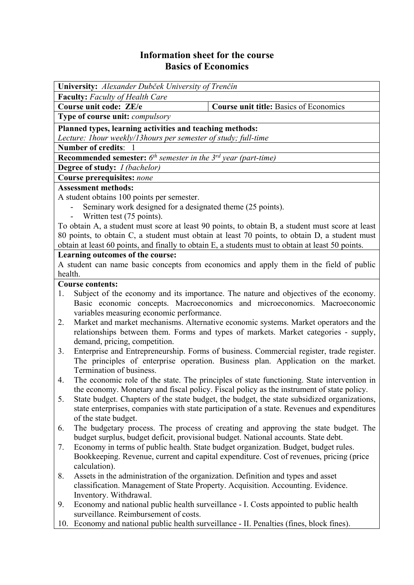## **Information sheet for the course Basics of Economics**

| University: Alexander Dubček University of Trenčín                                                                                                                                               |                                                                                            |  |  |  |  |  |
|--------------------------------------------------------------------------------------------------------------------------------------------------------------------------------------------------|--------------------------------------------------------------------------------------------|--|--|--|--|--|
| <b>Faculty:</b> Faculty of Health Care                                                                                                                                                           |                                                                                            |  |  |  |  |  |
| Course unit code: ZE/e                                                                                                                                                                           | <b>Course unit title: Basics of Economics</b>                                              |  |  |  |  |  |
| Type of course unit: compulsory                                                                                                                                                                  |                                                                                            |  |  |  |  |  |
| Planned types, learning activities and teaching methods:                                                                                                                                         |                                                                                            |  |  |  |  |  |
| Lecture: Ihour weekly/13hours per semester of study; full-time                                                                                                                                   |                                                                                            |  |  |  |  |  |
| <b>Number of credits:</b>                                                                                                                                                                        |                                                                                            |  |  |  |  |  |
| <b>Recommended semester:</b> $6^{th}$ semester in the $3^{rd}$ year (part-time)                                                                                                                  |                                                                                            |  |  |  |  |  |
| <b>Degree of study:</b> <i>I (bachelor)</i>                                                                                                                                                      |                                                                                            |  |  |  |  |  |
| <b>Course prerequisites: none</b>                                                                                                                                                                |                                                                                            |  |  |  |  |  |
| <b>Assessment methods:</b>                                                                                                                                                                       |                                                                                            |  |  |  |  |  |
| A student obtains 100 points per semester.                                                                                                                                                       |                                                                                            |  |  |  |  |  |
| Seminary work designed for a designated theme (25 points).                                                                                                                                       |                                                                                            |  |  |  |  |  |
| Written test (75 points).                                                                                                                                                                        |                                                                                            |  |  |  |  |  |
| To obtain A, a student must score at least 90 points, to obtain B, a student must score at least                                                                                                 |                                                                                            |  |  |  |  |  |
| 80 points, to obtain C, a student must obtain at least 70 points, to obtain D, a student must                                                                                                    |                                                                                            |  |  |  |  |  |
| obtain at least 60 points, and finally to obtain E, a students must to obtain at least 50 points.                                                                                                |                                                                                            |  |  |  |  |  |
| Learning outcomes of the course:                                                                                                                                                                 |                                                                                            |  |  |  |  |  |
| A student can name basic concepts from economics and apply them in the field of public                                                                                                           |                                                                                            |  |  |  |  |  |
| health.                                                                                                                                                                                          |                                                                                            |  |  |  |  |  |
| <b>Course contents:</b>                                                                                                                                                                          |                                                                                            |  |  |  |  |  |
| Subject of the economy and its importance. The nature and objectives of the economy.<br>1.                                                                                                       |                                                                                            |  |  |  |  |  |
|                                                                                                                                                                                                  | Basic economic concepts. Macroeconomics and microeconomics. Macroeconomic                  |  |  |  |  |  |
| variables measuring economic performance.                                                                                                                                                        |                                                                                            |  |  |  |  |  |
| Market and market mechanisms. Alternative economic systems. Market operators and the<br>2.                                                                                                       |                                                                                            |  |  |  |  |  |
| relationships between them. Forms and types of markets. Market categories - supply,                                                                                                              |                                                                                            |  |  |  |  |  |
| demand, pricing, competition.                                                                                                                                                                    |                                                                                            |  |  |  |  |  |
| Enterprise and Entrepreneurship. Forms of business. Commercial register, trade register.<br>3.                                                                                                   |                                                                                            |  |  |  |  |  |
|                                                                                                                                                                                                  | The principles of enterprise operation. Business plan. Application on the market.          |  |  |  |  |  |
| Termination of business.                                                                                                                                                                         |                                                                                            |  |  |  |  |  |
| 4.                                                                                                                                                                                               | The economic role of the state. The principles of state functioning. State intervention in |  |  |  |  |  |
| the economy. Monetary and fiscal policy. Fiscal policy as the instrument of state policy.                                                                                                        |                                                                                            |  |  |  |  |  |
| 5.<br>State budget. Chapters of the state budget, the budget, the state subsidized organizations,<br>state enterprises, companies with state participation of a state. Revenues and expenditures |                                                                                            |  |  |  |  |  |
|                                                                                                                                                                                                  |                                                                                            |  |  |  |  |  |
| of the state budget.                                                                                                                                                                             |                                                                                            |  |  |  |  |  |
| 6.                                                                                                                                                                                               | The budgetary process. The process of creating and approving the state budget. The         |  |  |  |  |  |
| 7.                                                                                                                                                                                               | budget surplus, budget deficit, provisional budget. National accounts. State debt.         |  |  |  |  |  |
| Economy in terms of public health. State budget organization. Budget, budget rules.<br>Bookkeeping. Revenue, current and capital expenditure. Cost of revenues, pricing (price                   |                                                                                            |  |  |  |  |  |
| calculation).                                                                                                                                                                                    |                                                                                            |  |  |  |  |  |
| 8.                                                                                                                                                                                               |                                                                                            |  |  |  |  |  |
| Assets in the administration of the organization. Definition and types and asset<br>classification. Management of State Property. Acquisition. Accounting. Evidence.                             |                                                                                            |  |  |  |  |  |
| Inventory. Withdrawal.                                                                                                                                                                           |                                                                                            |  |  |  |  |  |
| 9.                                                                                                                                                                                               | Economy and national public health surveillance - I. Costs appointed to public health      |  |  |  |  |  |
| surveillance. Reimbursement of costs.                                                                                                                                                            |                                                                                            |  |  |  |  |  |
| 10.                                                                                                                                                                                              |                                                                                            |  |  |  |  |  |
| Economy and national public health surveillance - II. Penalties (fines, block fines).                                                                                                            |                                                                                            |  |  |  |  |  |